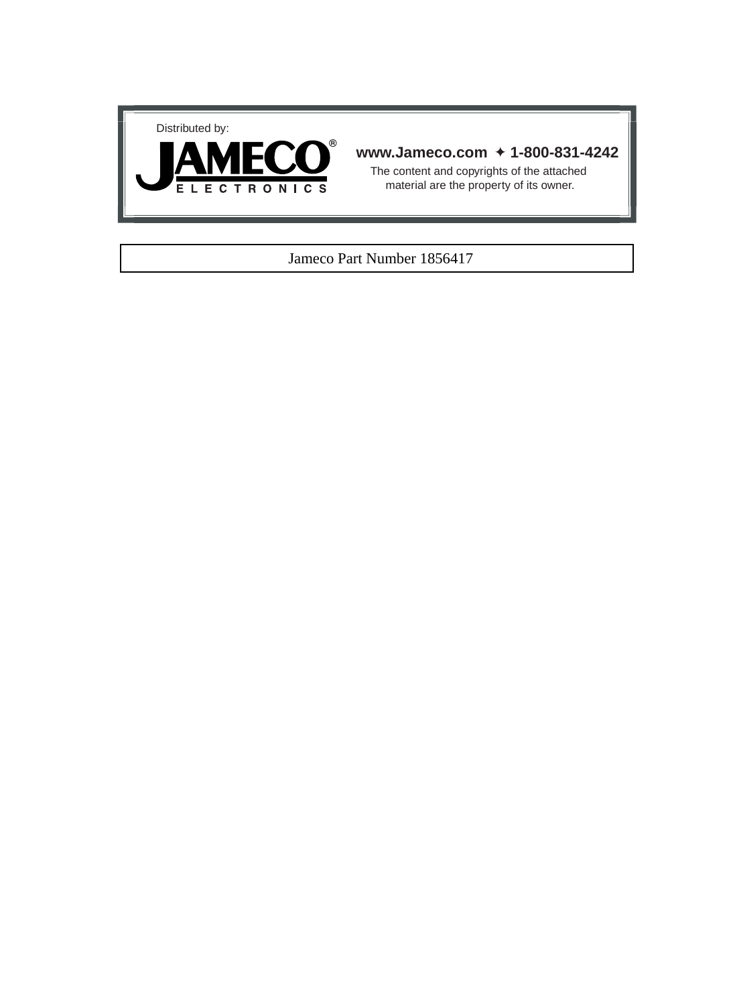



# **www.Jameco.com** ✦ **1-800-831-4242**

The content and copyrights of the attached material are the property of its owner.

## Jameco Part Number 1856417